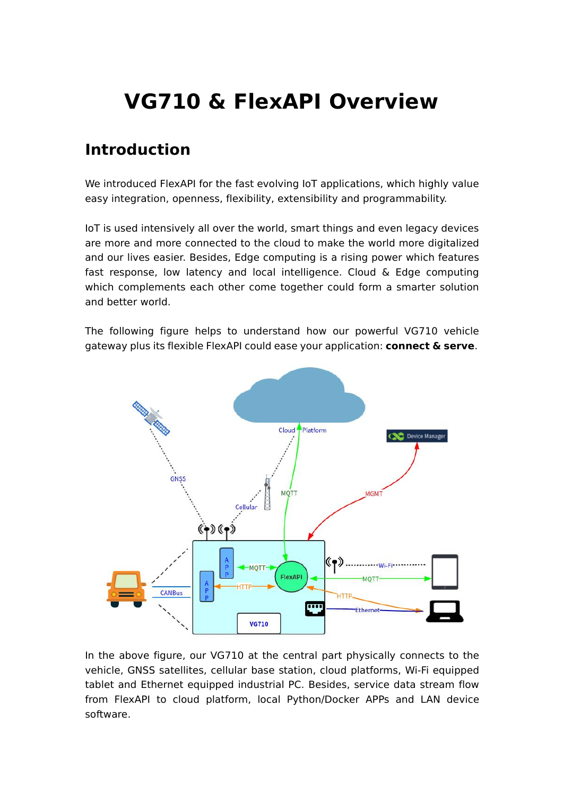# **VG710 & FlexAPI Overview**

#### **Introduction**

We introduced FlexAPI for the fast evolving IoT applications, which highly value easy integration, openness, flexibility, extensibility and programmability.

IoT is used intensively all over the world, smart things and even legacy devices are more and more connected to the cloud to make the world more digitalized and our lives easier. Besides, Edge computing is a rising power which features fast response, low latency and local intelligence. Cloud  $\&$  Edge computing which complements each other come together could form a smarter solution and better world.

The following figure helps to understand how our powerful VG710 vehicle gateway plus its flexible FlexAPI could ease your application: **connect & serve**.



In the above figure, our VG710 at the central part physically connects to the vehicle, GNSS satellites, cellular base station, cloud platforms, Wi-Fi equipped tablet and Ethernet equipped industrial PC. Besides, service data stream flow from FlexAPI to cloud platform, local Python/Docker APPs and LAN device software.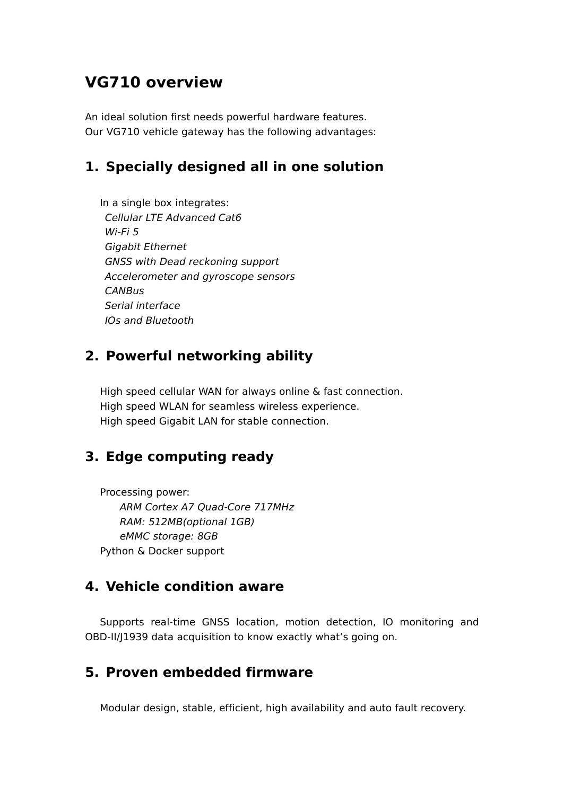#### **VG710 overview**

An ideal solution first needs powerful hardware features. Our VG710 vehicle gateway has the following advantages:

#### **1. Specially designed all in one solution**

In a single box integrates: *Cellular LTE Advanced Cat6 Wi-Fi 5 Gigabit Ethernet GNSS with Dead reckoning support Accelerometer and gyroscope sensors CANBus Serial interface IOs and Bluetooth*

#### **2. Powerful networking ability**

High speed cellular WAN for always online & fast connection. High speed WLAN for seamless wireless experience. High speed Gigabit LAN for stable connection.

#### **3. Edge computing ready**

Processing power: *ARM Cortex A7 Quad-Core 717MHz RAM: 512MB(optional 1GB) eMMC storage: 8GB* Python & Docker support

#### **4. Vehicle condition aware**

Supports real-time GNSS location, motion detection, IO monitoring and OBD-II/J1939 data acquisition to know exactly what's going on.

#### **5. Proven embedded firmware**

Modular design, stable, efficient, high availability and auto fault recovery.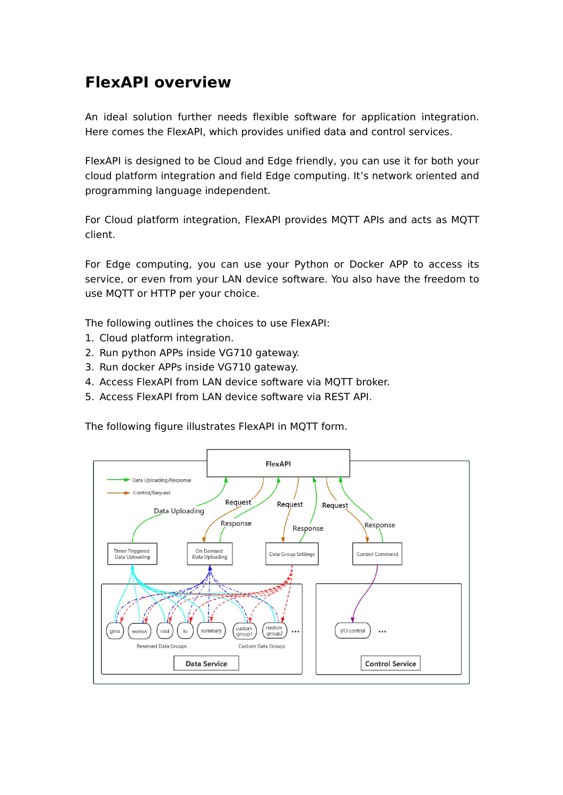## **FlexAPI overview**

An ideal solution further needs flexible software for application integration. Here comes the FlexAPI, which provides unified data and control services.

FlexAPI is designed to be Cloud and Edge friendly, you can use it for both your cloud platform integration and field Edge computing. It's network oriented and programming language independent.

For Cloud platform integration, FlexAPI provides MQTT APIs and acts as MQTT client.

For Edge computing, you can use your Python or Docker APP to access its service, or even from your LAN device software. You also have the freedom to use MQTT or HTTP per your choice.

The following outlines the choices to use FlexAPI:

- 1. Cloud platform integration.
- 2. Run python APPs inside VG710 gateway.
- 3. Run docker APPs inside VG710 gateway.
- 4. Access FlexAPI from LAN device software via MQTT broker.
- 5. Access FlexAPI from LAN device software via REST API.

The following figure illustrates FlexAPI in MQTT form.

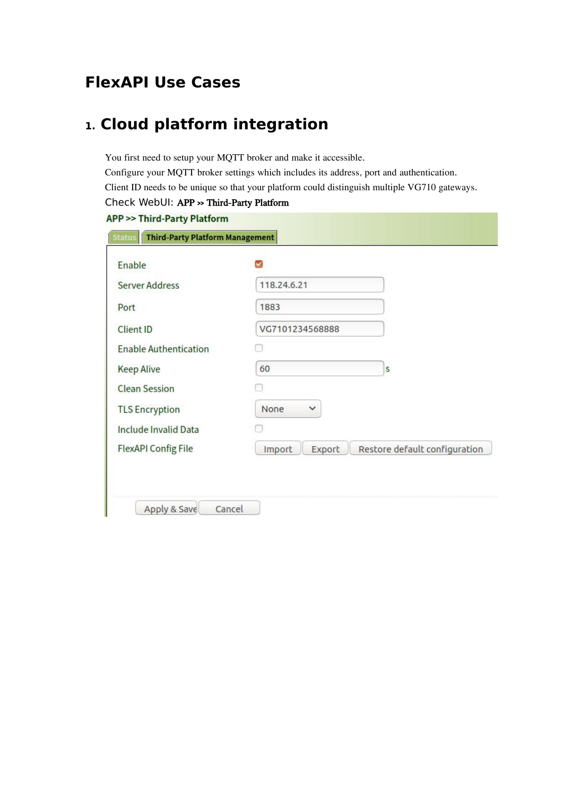# **FlexAPI Use Cases**

# **1. Cloud platform integration**

You first need to setup your MQTT broker and make it accessible. Configure your MQTT broker settings which includes its address, port and authentication. Client ID needs to be unique so that your platform could distinguish multiple VG710 gateways. Check WebUI: APP >> Third-Party Platform

| Enable                       |                                                   |
|------------------------------|---------------------------------------------------|
| <b>Server Address</b>        | 118.24.6.21                                       |
| Port                         | 1883                                              |
| <b>Client ID</b>             | VG7101234568888                                   |
| <b>Enable Authentication</b> |                                                   |
| <b>Keep Alive</b>            | 60<br>S                                           |
| <b>Clean Session</b>         |                                                   |
| <b>TLS Encryption</b>        | None<br>$\checkmark$                              |
| <b>Include Invalid Data</b>  |                                                   |
| <b>FlexAPI Config File</b>   | Import<br>Export<br>Restore default configuration |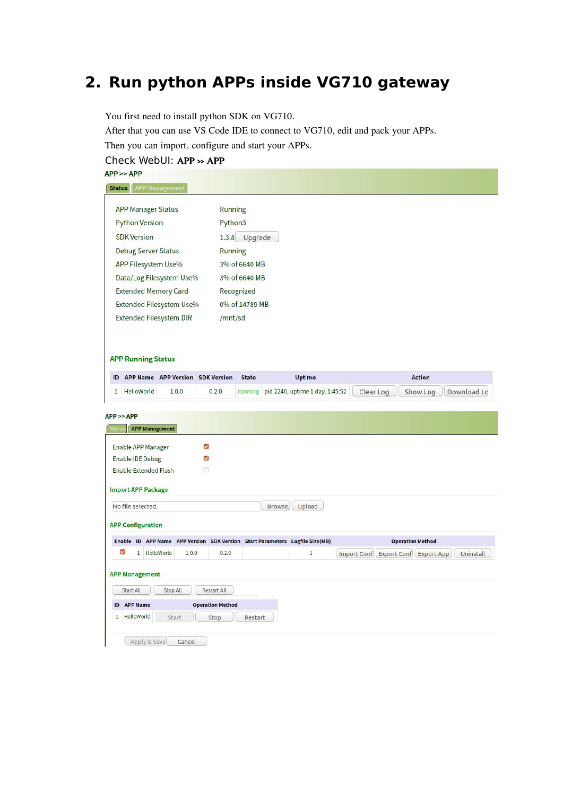# **2. Run python APPs inside VG710 gateway**

You first need to install python SDK on VG710.

After that you can use VS Code IDE to connect to VG710, edit and pack your APPs.<br>Then you can import configure and start your APPs.

 $\frac{1}{2}$  import, configure and start your APPs.

| Then you can import, configure and start your APPS.<br>Check WebUI: APP >> APP   |                         |                |                                 |                                                 |
|----------------------------------------------------------------------------------|-------------------------|----------------|---------------------------------|-------------------------------------------------|
| APP >> APP                                                                       |                         |                |                                 |                                                 |
| <b>APP Management</b><br><b>Status</b>                                           |                         |                |                                 |                                                 |
|                                                                                  |                         |                |                                 |                                                 |
| <b>APP Manager Status</b>                                                        | Running                 |                |                                 |                                                 |
| <b>Python Version</b>                                                            | Python3                 |                |                                 |                                                 |
| <b>SDK Version</b>                                                               |                         | 1.3.8 Upgrade  |                                 |                                                 |
| <b>Debug Server Status</b>                                                       | <b>Running</b>          |                |                                 |                                                 |
| <b>APP Filesystem Use%</b>                                                       |                         | 3% of 6640 MB  |                                 |                                                 |
| Data/Log Filesystem Use%                                                         |                         | 3% of 6640 MB  |                                 |                                                 |
| <b>Extended Memory Card</b>                                                      | Recognized              |                |                                 |                                                 |
| Extended Filesystem Use%                                                         |                         | 0% of 14789 MB |                                 |                                                 |
| <b>Extended Filesystem DIR</b>                                                   | /mnt/sd                 |                |                                 |                                                 |
| <b>APP Running Status</b>                                                        |                         |                |                                 |                                                 |
| APP Name APP Version SDK Version<br>ID                                           |                         | <b>State</b>   | <b>Uptime</b>                   | <b>Action</b>                                   |
| HelloWorld<br>1.0.0<br>$\mathbf{1}$                                              | 0.2.0                   | running        | pid 2240, uptime 1 day, 1:45:52 | Clear Log<br>Show Log<br>Download Lo            |
| $APP \geq$ $APP$<br><b>APP Management</b><br>Statu:<br><b>Enable APP Manager</b> | ☑                       |                |                                 |                                                 |
| <b>Enable IDE Debug</b>                                                          | ☑                       |                |                                 |                                                 |
| <b>Enable Extended Flash</b>                                                     | n                       |                |                                 |                                                 |
| <b>Import APP Package</b>                                                        |                         |                |                                 |                                                 |
| No file selected.                                                                |                         | Browse.        | Upload                          |                                                 |
| <b>APP Configuration</b>                                                         |                         |                |                                 |                                                 |
| Enable ID APP Name APP Version SDK Version Start Parameters Logfile Size(MB)     |                         |                |                                 | <b>Operation Method</b>                         |
| ☑<br>1 HelloWorld<br>1.0.0                                                       | 0.2.0                   |                | 1                               | Import Conf Export Conf Export App<br>Uninstall |
|                                                                                  |                         |                |                                 |                                                 |
| <b>APP Management</b>                                                            |                         |                |                                 |                                                 |
| Start All<br>Stop All                                                            | Restart All             |                |                                 |                                                 |
| <b>APP Name</b><br>ID                                                            | <b>Operation Method</b> |                |                                 |                                                 |
| <b>HelloWorld</b><br>1<br>Start                                                  | Stop                    | Restart        |                                 |                                                 |
|                                                                                  |                         |                |                                 |                                                 |
| Apply & Save<br>Cancel                                                           |                         |                |                                 |                                                 |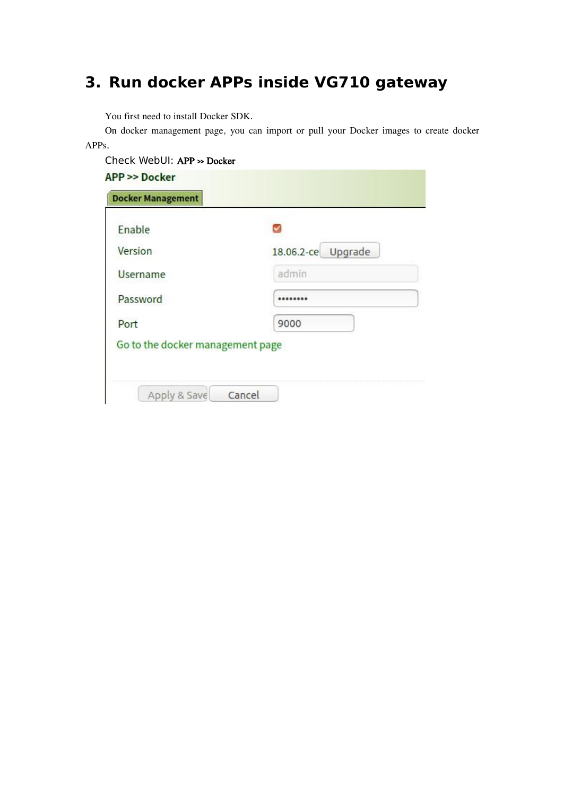# **3. Run dockerAPPs inside VG710 gateway**

You first need to install Docker SDK.

On docker management page, you can import or pull your Docker images to create docker APPs.

| Enable          |                    |
|-----------------|--------------------|
| Version         | 18.06.2-ce Upgrade |
| <b>Username</b> | admin              |
| Password        |                    |
| Port            | 9000               |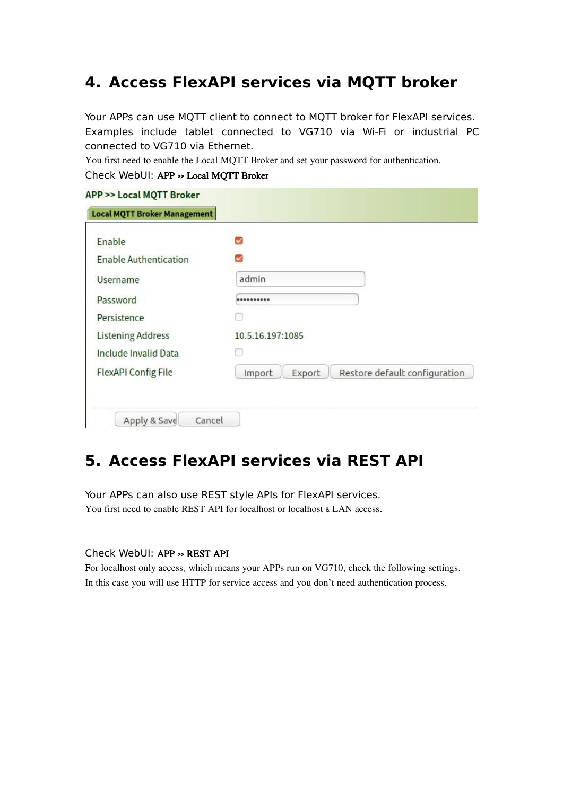### **4. Access FlexAPI services via MQTT broker**

Your APPs can use MQTT client to connect to MQTT broker for FlexAPI services. Examples include tablet connected to VG710 via Wi-Fi or industrial PC connected to VG710 via Ethernet.

You first need to enable the Local MQTT Broker and set your password for authentication.

| Check WebUI: APP >> Local MQTT Broker |  |
|---------------------------------------|--|
|---------------------------------------|--|

| <b>Local MQTT Broker Management</b> |                                                   |
|-------------------------------------|---------------------------------------------------|
| Enable                              |                                                   |
| <b>Enable Authentication</b>        |                                                   |
| Username                            | admin                                             |
| Password                            |                                                   |
| Persistence                         |                                                   |
| <b>Listening Address</b>            | 10.5.16.197:1085                                  |
| <b>Include Invalid Data</b>         |                                                   |
| <b>FlexAPI Config File</b>          | Restore default configuration<br>Export<br>Import |

### **5. Access FlexAPI services via REST API**

Your APPs can also use REST style APIs for FlexAPI services. You first need to enable REST API for localhost or localhost & LAN access.

#### Check WebUI: APP >> REST API

For localhost only access, which means your APPs run on VG710, check the following settings. In this case you will use HTTP for service access and you don't need authentication process.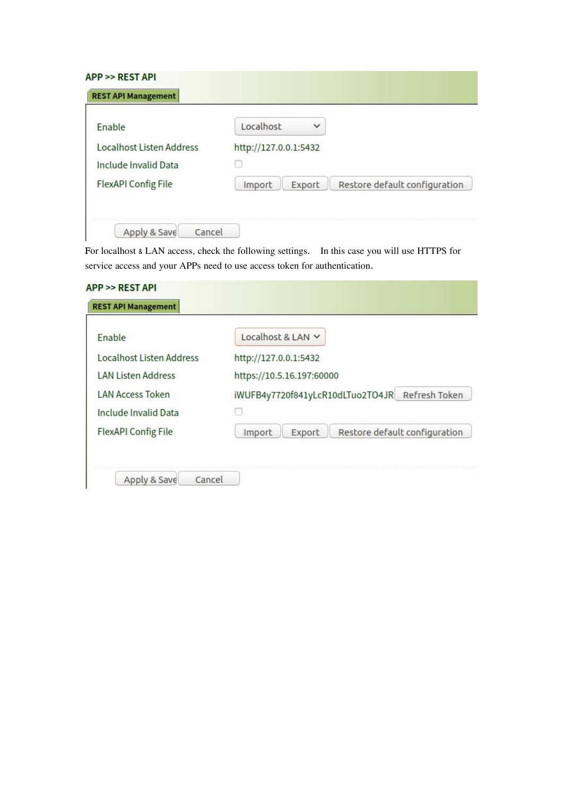| Enable                          | $\checkmark$<br>Localhost                         |  |
|---------------------------------|---------------------------------------------------|--|
| <b>Localhost Listen Address</b> | http://127.0.0.1:5432                             |  |
| <b>Include Invalid Data</b>     |                                                   |  |
| <b>FlexAPI Config File</b>      | Restore default configuration<br>Export<br>Import |  |

For localhost & LAN access, check the following settings. In this case you will use HTTPS for service access and your APPs need to use access token for authentication.

| Enable                          | Localhost & LAN V                                 |
|---------------------------------|---------------------------------------------------|
| <b>Localhost Listen Address</b> | http://127.0.0.1:5432                             |
| <b>LAN Listen Address</b>       | https://10.5.16.197:60000                         |
| <b>LAN Access Token</b>         | Refresh Token<br>iWUFB4y7720f841yLcR10dLTuo2TO4JR |
| Include Invalid Data            |                                                   |
| <b>FlexAPI Config File</b>      | Restore default configuration<br>Export<br>Import |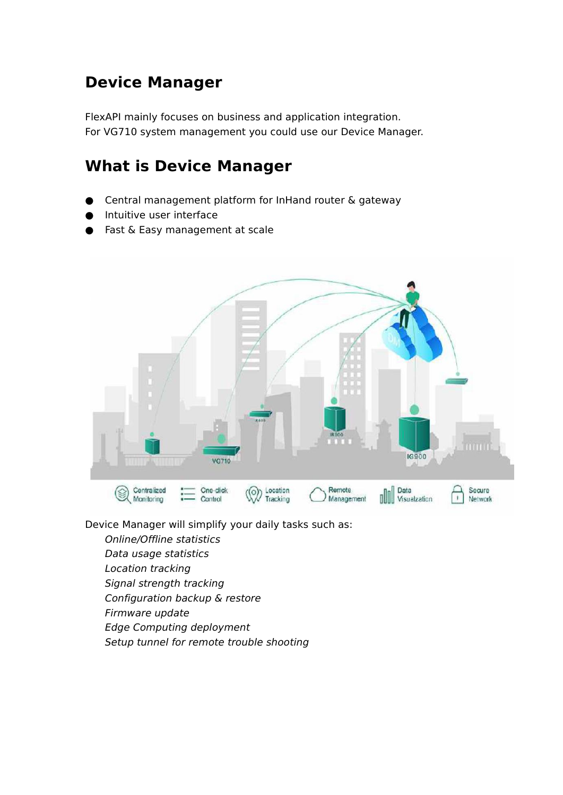# **Device Manager**

FlexAPI mainly focuses on business and application integration. For VG710 system management you could use our Device Manager.

# **What is Device Manager**

- Central management platform for InHand router & gateway
- Intuitive user interface
- Fast & Easy management at scale



Device Manager will simplify your daily tasks such as:

- *Online/Offline statistics*
- *Data usage statistics Location tracking*
- *Signal strength tracking*
- *Configuration backup & restore*
- *Firmware update*
- *Edge Computing deployment*
- *Setup tunnel for remote trouble shooting*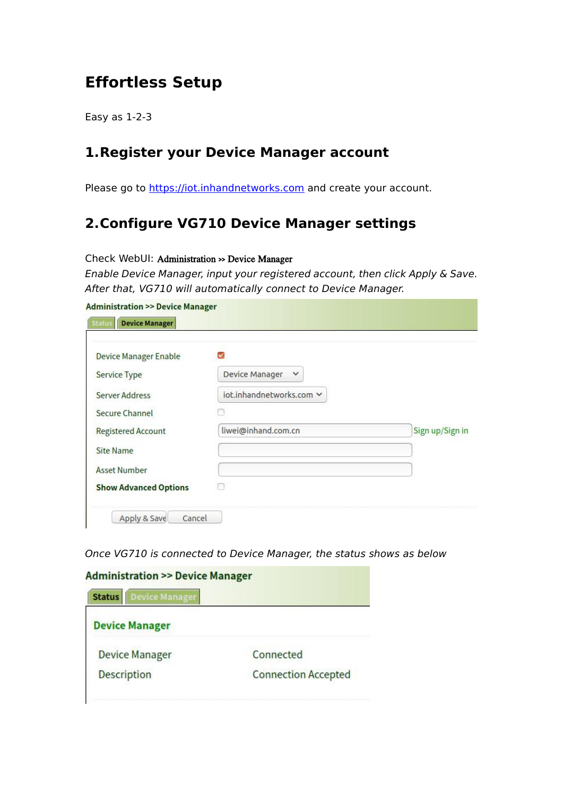## **Effortless Setup**

Easy as 1-2-3

#### **1.Register your Device Manager account**

Please go to <https://iot.inhandnetworks.com> and create your account.

#### **2.Configure VG710 Device Manager settings**

#### Check WebUI: Administration >> Device Manager

*Enable Device Manager, input your registered account, then click Apply & Save. After that, VG710 will automatically connect to Device Manager.*

| <b>Device Manager Enable</b> |                                |                 |
|------------------------------|--------------------------------|-----------------|
| <b>Service Type</b>          | Device Manager<br>$\checkmark$ |                 |
| Server Address               | iot.inhandnetworks.com v       |                 |
| Secure Channel               |                                |                 |
| <b>Registered Account</b>    | liwei@inhand.com.cn            | Sign up/Sign in |
| <b>Site Name</b>             |                                |                 |
| <b>Asset Number</b>          |                                |                 |
| <b>Show Advanced Options</b> |                                |                 |

*Once VG710 is connected to Device Manager, the status shows as below*

| <b>Device Manager</b><br><b>Status</b> |                            |
|----------------------------------------|----------------------------|
| <b>Device Manager</b>                  |                            |
| <b>Device Manager</b>                  | Connected                  |
| <b>Description</b>                     | <b>Connection Accepted</b> |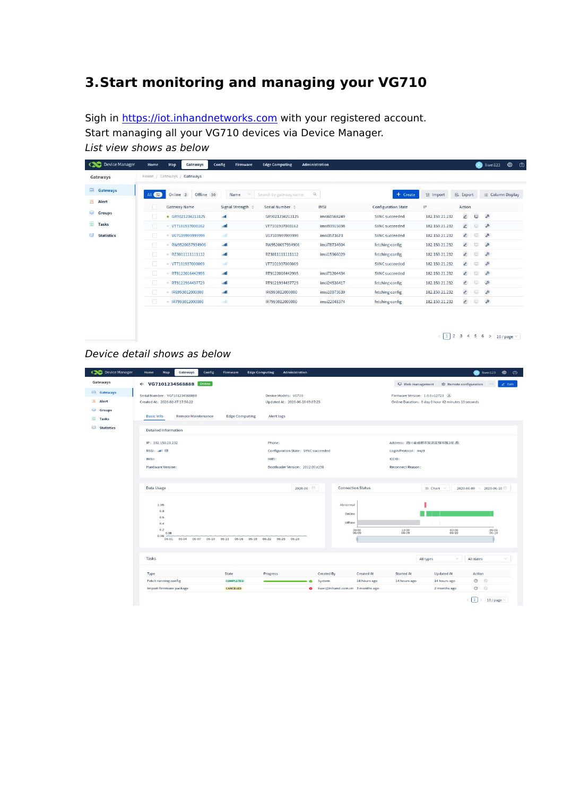# **3.Start monitoring and managing your VG710**

Sigh in <https://iot.inhandnetworks.com> with your registered account. Start managing all your VG710 devices via Device Manager. *List view shows as below*

| $\infty$<br>Device Manager  | Home<br>Home / Gateways / Gateways | Map                 | Gateways          | Config      | Firmware          | <b>Edge Computing</b>           | <b>Administration</b> |                            |                |                | 6                                                   | $\qquad \qquad \oplus$<br>liwei123<br>$\circ$                                                                  |
|-----------------------------|------------------------------------|---------------------|-------------------|-------------|-------------------|---------------------------------|-----------------------|----------------------------|----------------|----------------|-----------------------------------------------------|----------------------------------------------------------------------------------------------------------------|
| Gateways                    |                                    |                     |                   |             |                   |                                 |                       |                            |                |                |                                                     |                                                                                                                |
| 曲<br>Gateways               | All 52                             | Online 2            | Offline 50        |             | Name<br>×         | Search by gateway name          | $\alpha$              | $+$ Create                 | a Import       | [5 Export]     |                                                     | Column Display<br>僵                                                                                            |
| 宜<br>Alert                  |                                    | <b>Gateway Name</b> |                   |             | Signal Strength # | Serial Number $\Leftrightarrow$ | <b>IMSI</b>           | <b>Configuration State</b> | IP             | Action         |                                                     |                                                                                                                |
| <b>Rud</b><br><b>Groups</b> |                                    |                     |                   |             |                   |                                 |                       |                            |                |                |                                                     |                                                                                                                |
|                             |                                    |                     | • GR9021234213125 | auf         |                   | GR9021234213125                 | imsi60568249          | SYNC succeeded             | 182.150.21.232 | $\mathbf{r}$   | $\overline{\mathbb{Q}}$                             | $\mathcal{E}^{\!\!o}$                                                                                          |
| 圖<br><b>Tasks</b>           |                                    |                     | VT7101937000162   | and.        |                   | VT7101937000162                 | imsi93915698          | SYNC succeeded             | 182.150.21.232 | $\mathbf{Z}$   | $\Box$                                              | $\mathcal{S}^{\!s}$                                                                                            |
| 編<br><b>Statistics</b>      |                                    |                     | VG7109999999999   | sail        |                   | VG7109999999999                 | imsi3573673           | SYNC succeeded             | 182.150.21.232 | $\mathbf{Z}$   | $\overline{\mathbb{CP}}$                            | $\mathcal{E}^{\!s}$                                                                                            |
|                             | T.                                 |                     | RW9520657934906   | all.        |                   | RW9520657934906                 | imsi78734604          | fetching config            | 182.150.21.232 | $\mathbf{C}$   | $\Box$                                              | $\mathcal{E}$                                                                                                  |
|                             | $\Box$                             | $\sim$              | RZ3011111111112   | <b>and</b>  |                   | RZ3011111111112                 | imsi15966029          | fetching config            | 182.150.21.232 | $\mathbf{C}$   | $\Box$                                              | $\mathcal{B}% _{T}=\mathcal{A}_{T}\!\left( a,b\right) ,\ \mathcal{A}_{T}=\mathcal{A}_{T}\!\left( a,b\right) ,$ |
|                             | $\mathbb{R}^n$                     |                     | VT7101937000069   | <b>Sull</b> |                   | VT7101937000069                 |                       | SYNC succeeded             | 182.150.21.232 | $\overline{c}$ | $\overline{\mathbb{Q}}$                             | $\mathcal{E}$                                                                                                  |
|                             | Ð                                  |                     | RT9122016442995   | ail         |                   | RT9122016442995                 | imsi71204434          | SYNC succeeded             | 182.150.21.232 | $\epsilon$     | 買                                                   | $\mathcal{E}$                                                                                                  |
|                             | $\Box$                             |                     | RT9121934437729   | <b>A</b>    |                   | RT9121934437729                 | imsi24536417          | fetching config            | 182.150.21.232 | $\mathcal{L}$  | $\overline{\mathrm{L}_{\mathrm{int}}^{\mathrm{1}}}$ | $\mathcal{E}^{\!s}$                                                                                            |
|                             |                                    |                     | IR6993012000000   | <b>Juli</b> |                   | IR6993012000000                 | imsi10973639          | fetching config            | 182.150.21.232 | $\epsilon$     | $\overline{\Box}$                                   | $\mathcal{B}% _{T}=\mathcal{A}_{T}\!\left( a,b\right) ,\ \mathcal{A}_{T}=\mathcal{A}_{T}\!\left( a,b\right) ,$ |
|                             |                                    |                     | R7993012000000    | anth        |                   | IR7993012000000                 | imsi22048374          | fetching config            | 182.150.21.232 | $\epsilon$     | $\frac{1-\epsilon}{2\epsilon}$                      | $\mathcal{E}^{\!g}$                                                                                            |
|                             |                                    |                     |                   |             |                   |                                 |                       |                            |                |                |                                                     |                                                                                                                |

 $\left( \frac{1}{2} \right)$  2 3 4 5 6 >  $\frac{10}{2}$  page  $\vee$ 

#### *Device detail shows as below*

| Competition Device Manager         | Config<br>Home<br>Map<br>Gateways<br>Firmware                                                | <b>Edge Computing</b><br><b>Administration</b>                                             | $\bullet$ liwei123<br>$\oplus$<br>ා                                                                   |
|------------------------------------|----------------------------------------------------------------------------------------------|--------------------------------------------------------------------------------------------|-------------------------------------------------------------------------------------------------------|
| Gateways                           | $\leftarrow$ VG7101234568888<br>Online                                                       |                                                                                            | @ Remote configuration<br>Web management<br>$Q$ Edit<br>$\cdots$                                      |
| <b>Gateways</b><br>鱼<br>Alert      | Serial Number: VG7101234568888<br>Created At: 2020-02-07 17:56:22                            | Device Models: VG710<br>Updated At: 2020-06-10 09:07:25                                    | Firmware Version: 1.0.0.r12723 J.<br>Online Duration: 0 day 0 hour 42 minutes 10 seconds              |
| 58<br>Groups<br>図<br><b>Tasks</b>  | <b>Basic Info</b><br>Remote Maintenance                                                      | <b>Edge Computing</b><br>Alert logs                                                        |                                                                                                       |
| $\frac{1}{2}$<br><b>Statistics</b> | <b>Detailed Information</b>                                                                  |                                                                                            |                                                                                                       |
|                                    | IP: 182.150.21.232<br>RSSI: all off<br>IMSI:<br>Hardware Version:                            | Phone:<br>Configuration State: SYNC succeeded<br>IMEI:<br>Bootloader Version: 2012.07.r238 | Address: 四川省成都市双流区锦华路2段 &<br>Login Protocol: mqtt<br>ICCID:<br>Reconnect Reason:                      |
|                                    | Data Usage                                                                                   | 2020-06                                                                                    | <b>Connection Status</b><br>■ Chart ∨<br>2020-06-09 - 2020-06-10                                      |
|                                    | 1.08<br>0.8<br>0.6<br>0.4<br>0.2<br>0.0B<br>0.08<br>$06 - 01$<br>06-04<br>06-07<br>$06 - 10$ | 06-13 06-16 06-19 06-22<br>$06 - 25$<br>06-28                                              | Abnormal<br>Online<br>Offline<br>$00:00$<br>$06:09$<br>12:00<br>06-09<br>09:48                        |
|                                    | Tasks                                                                                        |                                                                                            | All types<br>All states<br>$\searrow$<br>$\vee$                                                       |
|                                    | Type<br>State                                                                                | Created By<br>Progress                                                                     | <b>Action</b><br>Created At<br>Started At<br><b>Updated At</b>                                        |
|                                    | Fetch running config                                                                         | <b>COMPLETED</b><br>System                                                                 | $C$ 0<br>18 hours ago<br>14 hours ago<br>14 hours ago                                                 |
|                                    | Import firmware package<br>CANCELED                                                          |                                                                                            | $C \n  \n $<br>2 months ago<br>liwei@inhand.com.cn 3 months ago<br>1<br>$10$ / page $\vee$<br>$\,<\,$ |